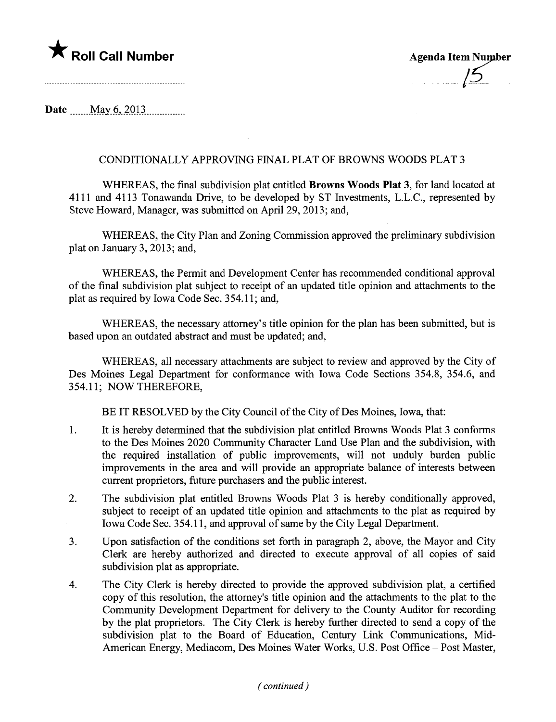## $\bigstar$  Roll Call Number

| <b>Agenda Item Number</b> |
|---------------------------|
|                           |
|                           |

Date  $\frac{\text{May } 6, 2013}{\text{May } 6, 2013}$ 

## CONDITIONALLY APPROVING FINAL PLAT OF BROWNS WOODS PLAT 3

WHEREAS, the final subdivision plat entitled Browns Woods Plat 3, for land located at 4111 and 4113 Tonawanda Drive, to be developed by ST Investments, L.L.C., represented by Steve Howard, Manager, was submitted on April 29, 2013; and,

WHEREAS, the City Plan and Zoning Commission approved the preliminary subdivision plat on January 3,  $2013$ ; and,

WHEREAS, the Permit and Development Center has recommended conditional approval of the final subdivision plat subject to receipt of an updated title opinion and attachments to the plat as required by Iowa Code Sec. 354.11; and,

WHEREAS, the necessary attorney's title opinion for the plan has been submitted, but is based upon an outdated abstract and must be updated; and,

WHEREAS, all necessary attachments are subject to review and approved by the City of Des Moines Legal Deparment for conformance with Iowa Code Sections 354.8, 354.6, and 354.11; NOW THEREFORE,

BE IT RESOLVED by the City Council of the City of Des Moines, Iowa, that:

- 1. It is hereby determined that the subdivision plat entitled Browns Woods Plat 3 conforms to the Des Moines 2020 Community Character Land Use Plan and the subdivision, with the required installation of public improvements, will not unduly burden public improvements in the area and will provide an appropriate balance of interests between current proprietors, future purchasers and the public interest.
- 2. The subdivision plat entitled Browns Woods Plat 3 is hereby conditionally approved, subject to receipt of an updated title opinion and attachments to the plat as required by Iowa Code Sec. 354.11, and approval of same by the City Legal Deparment.
- 3. Upon satisfaction of the conditions set forth in paragraph 2, above, the Mayor and City Clerk are hereby authorized and directed to execute approval of all copies of said subdivision plat as appropriate.
- 4. The City Clerk is hereby directed to provide the approved subdivision plat, a certified copy of this resolution, the attorney's title opinion and the attachments to the plat to the Community Development Department for delivery to the County Auditor for recording by the plat proprietors. The City Clerk is hereby further directed to send a copy of the subdivision plat to the Board of Education, Century Link Communications, Mid-American Energy, Mediacom, Des Moines Water Works, U.S. Post Office - Post Master,